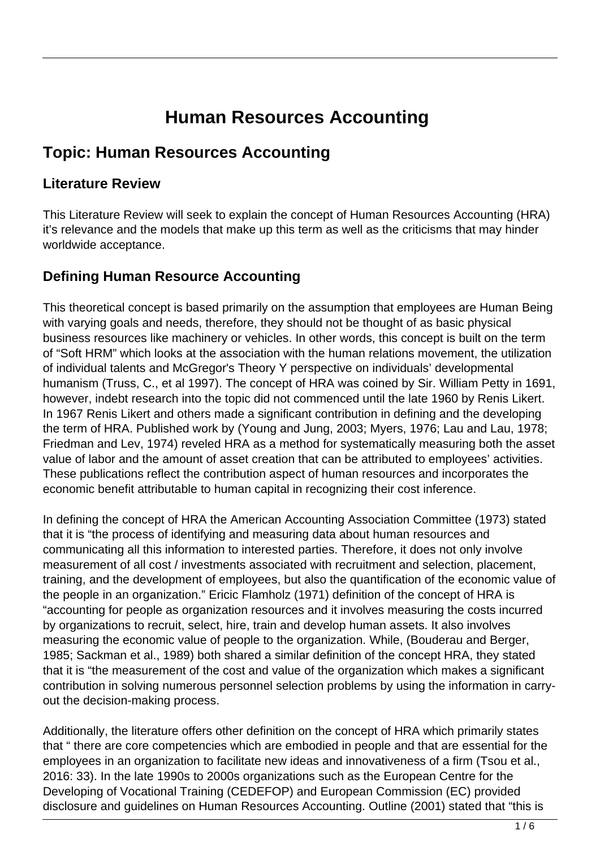# **Human Resources Accounting**

# **Topic: Human Resources Accounting**

#### **Literature Review**

This Literature Review will seek to explain the concept of Human Resources Accounting (HRA) it's relevance and the models that make up this term as well as the criticisms that may hinder worldwide acceptance.

#### **Defining Human Resource Accounting**

This theoretical concept is based primarily on the assumption that employees are Human Being with varying goals and needs, therefore, they should not be thought of as basic physical business resources like machinery or vehicles. In other words, this concept is built on the term of "Soft HRM" which looks at the association with the human relations movement, the utilization of individual talents and McGregor's Theory Y perspective on individuals' developmental humanism (Truss, C., et al 1997). The concept of HRA was coined by Sir. William Petty in 1691, however, indebt research into the topic did not commenced until the late 1960 by Renis Likert. In 1967 Renis Likert and others made a significant contribution in defining and the developing the term of HRA. Published work by (Young and Jung, 2003; Myers, 1976; Lau and Lau, 1978; Friedman and Lev, 1974) reveled HRA as a method for systematically measuring both the asset value of labor and the amount of asset creation that can be attributed to employees' activities. These publications reflect the contribution aspect of human resources and incorporates the economic benefit attributable to human capital in recognizing their cost inference.

In defining the concept of HRA the American Accounting Association Committee (1973) stated that it is "the process of identifying and measuring data about human resources and communicating all this information to interested parties. Therefore, it does not only involve measurement of all cost / investments associated with recruitment and selection, placement, training, and the development of employees, but also the quantification of the economic value of the people in an organization." Ericic Flamholz (1971) definition of the concept of HRA is "accounting for people as organization resources and it involves measuring the costs incurred by organizations to recruit, select, hire, train and develop human assets. It also involves measuring the economic value of people to the organization. While, (Bouderau and Berger, 1985; Sackman et al., 1989) both shared a similar definition of the concept HRA, they stated that it is "the measurement of the cost and value of the organization which makes a significant contribution in solving numerous personnel selection problems by using the information in carryout the decision-making process.

Additionally, the literature offers other definition on the concept of HRA which primarily states that " there are core competencies which are embodied in people and that are essential for the employees in an organization to facilitate new ideas and innovativeness of a firm (Tsou et al., 2016: 33). In the late 1990s to 2000s organizations such as the European Centre for the Developing of Vocational Training (CEDEFOP) and European Commission (EC) provided disclosure and guidelines on Human Resources Accounting. Outline (2001) stated that "this is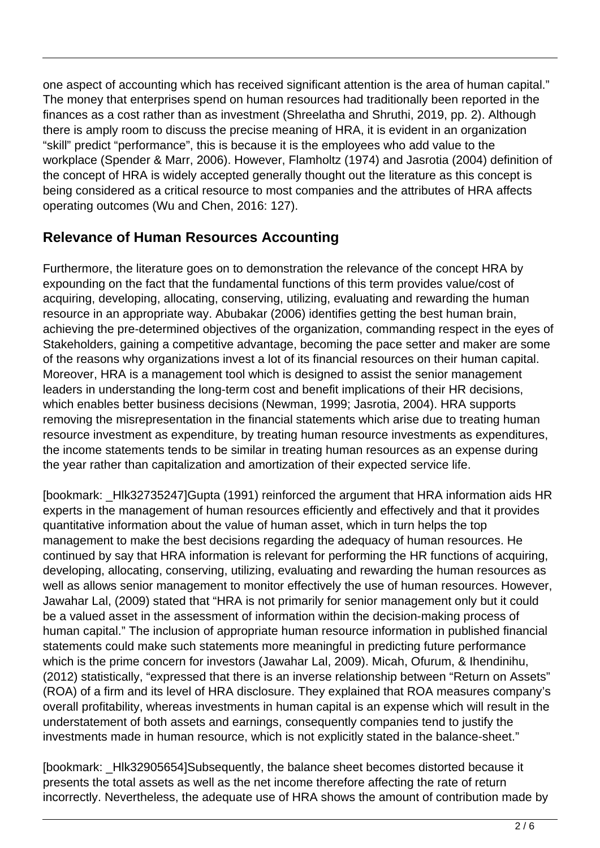one aspect of accounting which has received significant attention is the area of human capital." The money that enterprises spend on human resources had traditionally been reported in the finances as a cost rather than as investment (Shreelatha and Shruthi, 2019, pp. 2). Although there is amply room to discuss the precise meaning of HRA, it is evident in an organization "skill" predict "performance", this is because it is the employees who add value to the workplace (Spender & Marr, 2006). However, Flamholtz (1974) and Jasrotia (2004) definition of the concept of HRA is widely accepted generally thought out the literature as this concept is being considered as a critical resource to most companies and the attributes of HRA affects operating outcomes (Wu and Chen, 2016: 127).

#### **Relevance of Human Resources Accounting**

Furthermore, the literature goes on to demonstration the relevance of the concept HRA by expounding on the fact that the fundamental functions of this term provides value/cost of acquiring, developing, allocating, conserving, utilizing, evaluating and rewarding the human resource in an appropriate way. Abubakar (2006) identifies getting the best human brain, achieving the pre-determined objectives of the organization, commanding respect in the eyes of Stakeholders, gaining a competitive advantage, becoming the pace setter and maker are some of the reasons why organizations invest a lot of its financial resources on their human capital. Moreover, HRA is a management tool which is designed to assist the senior management leaders in understanding the long-term cost and benefit implications of their HR decisions, which enables better business decisions (Newman, 1999; Jasrotia, 2004). HRA supports removing the misrepresentation in the financial statements which arise due to treating human resource investment as expenditure, by treating human resource investments as expenditures, the income statements tends to be similar in treating human resources as an expense during the year rather than capitalization and amortization of their expected service life.

[bookmark: \_Hlk32735247]Gupta (1991) reinforced the argument that HRA information aids HR experts in the management of human resources efficiently and effectively and that it provides quantitative information about the value of human asset, which in turn helps the top management to make the best decisions regarding the adequacy of human resources. He continued by say that HRA information is relevant for performing the HR functions of acquiring, developing, allocating, conserving, utilizing, evaluating and rewarding the human resources as well as allows senior management to monitor effectively the use of human resources. However, Jawahar Lal, (2009) stated that "HRA is not primarily for senior management only but it could be a valued asset in the assessment of information within the decision-making process of human capital." The inclusion of appropriate human resource information in published financial statements could make such statements more meaningful in predicting future performance which is the prime concern for investors (Jawahar Lal, 2009). Micah, Ofurum, & Ihendinihu, (2012) statistically, "expressed that there is an inverse relationship between "Return on Assets" (ROA) of a firm and its level of HRA disclosure. They explained that ROA measures company's overall profitability, whereas investments in human capital is an expense which will result in the understatement of both assets and earnings, consequently companies tend to justify the investments made in human resource, which is not explicitly stated in the balance-sheet."

[bookmark: \_Hlk32905654]Subsequently, the balance sheet becomes distorted because it presents the total assets as well as the net income therefore affecting the rate of return incorrectly. Nevertheless, the adequate use of HRA shows the amount of contribution made by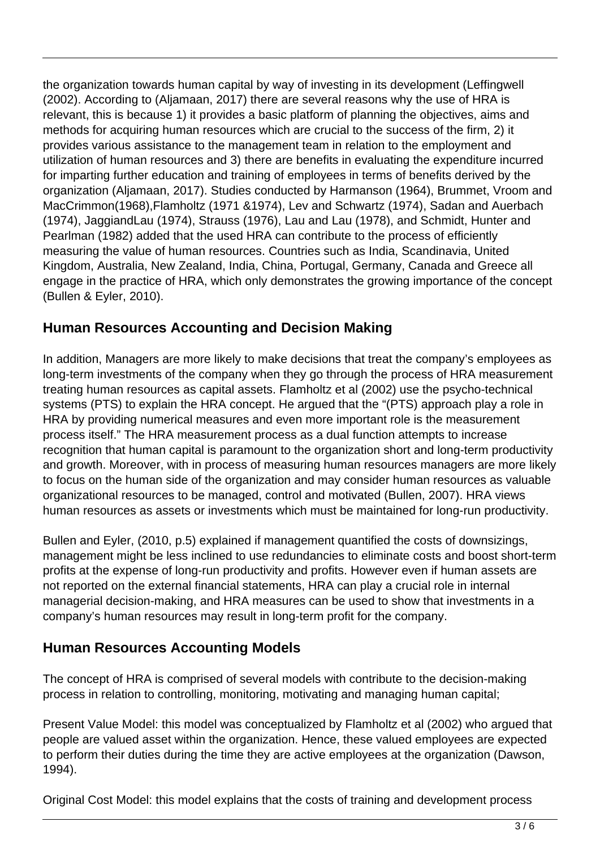the organization towards human capital by way of investing in its development (Leffingwell (2002). According to (Aljamaan, 2017) there are several reasons why the use of HRA is relevant, this is because 1) it provides a basic platform of planning the objectives, aims and methods for acquiring human resources which are crucial to the success of the firm, 2) it provides various assistance to the management team in relation to the employment and utilization of human resources and 3) there are benefits in evaluating the expenditure incurred for imparting further education and training of employees in terms of benefits derived by the organization (Aljamaan, 2017). Studies conducted by Harmanson (1964), Brummet, Vroom and MacCrimmon(1968),Flamholtz (1971 &1974), Lev and Schwartz (1974), Sadan and Auerbach (1974), JaggiandLau (1974), Strauss (1976), Lau and Lau (1978), and Schmidt, Hunter and Pearlman (1982) added that the used HRA can contribute to the process of efficiently measuring the value of human resources. Countries such as India, Scandinavia, United Kingdom, Australia, New Zealand, India, China, Portugal, Germany, Canada and Greece all engage in the practice of HRA, which only demonstrates the growing importance of the concept (Bullen & Eyler, 2010).

## **Human Resources Accounting and Decision Making**

In addition, Managers are more likely to make decisions that treat the company's employees as long-term investments of the company when they go through the process of HRA measurement treating human resources as capital assets. Flamholtz et al (2002) use the psycho-technical systems (PTS) to explain the HRA concept. He argued that the "(PTS) approach play a role in HRA by providing numerical measures and even more important role is the measurement process itself." The HRA measurement process as a dual function attempts to increase recognition that human capital is paramount to the organization short and long-term productivity and growth. Moreover, with in process of measuring human resources managers are more likely to focus on the human side of the organization and may consider human resources as valuable organizational resources to be managed, control and motivated (Bullen, 2007). HRA views human resources as assets or investments which must be maintained for long-run productivity.

Bullen and Eyler, (2010, p.5) explained if management quantified the costs of downsizings, management might be less inclined to use redundancies to eliminate costs and boost short-term profits at the expense of long-run productivity and profits. However even if human assets are not reported on the external financial statements, HRA can play a crucial role in internal managerial decision-making, and HRA measures can be used to show that investments in a company's human resources may result in long-term profit for the company.

#### **Human Resources Accounting Models**

The concept of HRA is comprised of several models with contribute to the decision-making process in relation to controlling, monitoring, motivating and managing human capital;

Present Value Model: this model was conceptualized by Flamholtz et al (2002) who argued that people are valued asset within the organization. Hence, these valued employees are expected to perform their duties during the time they are active employees at the organization (Dawson, 1994).

Original Cost Model: this model explains that the costs of training and development process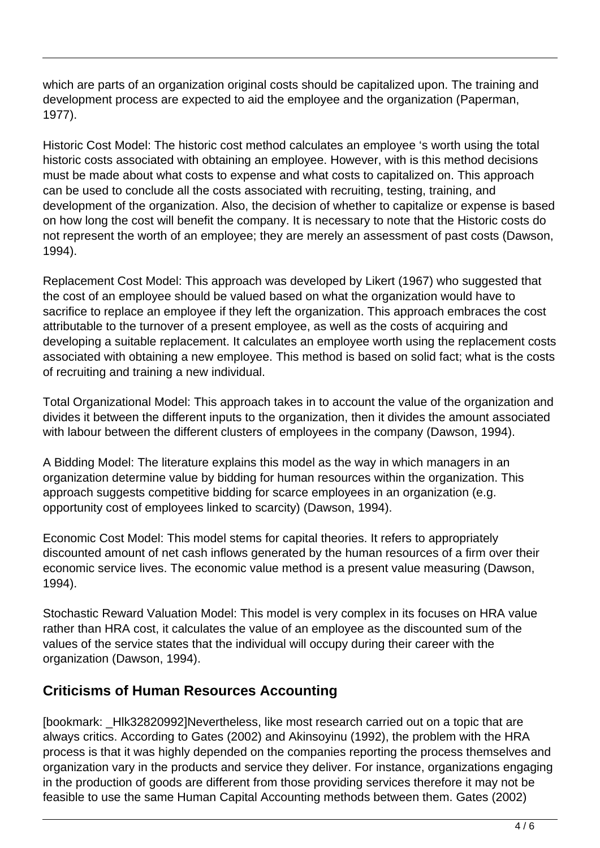which are parts of an organization original costs should be capitalized upon. The training and development process are expected to aid the employee and the organization (Paperman, 1977).

Historic Cost Model: The historic cost method calculates an employee 's worth using the total historic costs associated with obtaining an employee. However, with is this method decisions must be made about what costs to expense and what costs to capitalized on. This approach can be used to conclude all the costs associated with recruiting, testing, training, and development of the organization. Also, the decision of whether to capitalize or expense is based on how long the cost will benefit the company. It is necessary to note that the Historic costs do not represent the worth of an employee; they are merely an assessment of past costs (Dawson, 1994).

Replacement Cost Model: This approach was developed by Likert (1967) who suggested that the cost of an employee should be valued based on what the organization would have to sacrifice to replace an employee if they left the organization. This approach embraces the cost attributable to the turnover of a present employee, as well as the costs of acquiring and developing a suitable replacement. It calculates an employee worth using the replacement costs associated with obtaining a new employee. This method is based on solid fact; what is the costs of recruiting and training a new individual.

Total Organizational Model: This approach takes in to account the value of the organization and divides it between the different inputs to the organization, then it divides the amount associated with labour between the different clusters of employees in the company (Dawson, 1994).

A Bidding Model: The literature explains this model as the way in which managers in an organization determine value by bidding for human resources within the organization. This approach suggests competitive bidding for scarce employees in an organization (e.g. opportunity cost of employees linked to scarcity) (Dawson, 1994).

Economic Cost Model: This model stems for capital theories. It refers to appropriately discounted amount of net cash inflows generated by the human resources of a firm over their economic service lives. The economic value method is a present value measuring (Dawson, 1994).

Stochastic Reward Valuation Model: This model is very complex in its focuses on HRA value rather than HRA cost, it calculates the value of an employee as the discounted sum of the values of the service states that the individual will occupy during their career with the organization (Dawson, 1994).

#### **Criticisms of Human Resources Accounting**

[bookmark: HIk32820992]Nevertheless, like most research carried out on a topic that are always critics. According to Gates (2002) and Akinsoyinu (1992), the problem with the HRA process is that it was highly depended on the companies reporting the process themselves and organization vary in the products and service they deliver. For instance, organizations engaging in the production of goods are different from those providing services therefore it may not be feasible to use the same Human Capital Accounting methods between them. Gates (2002)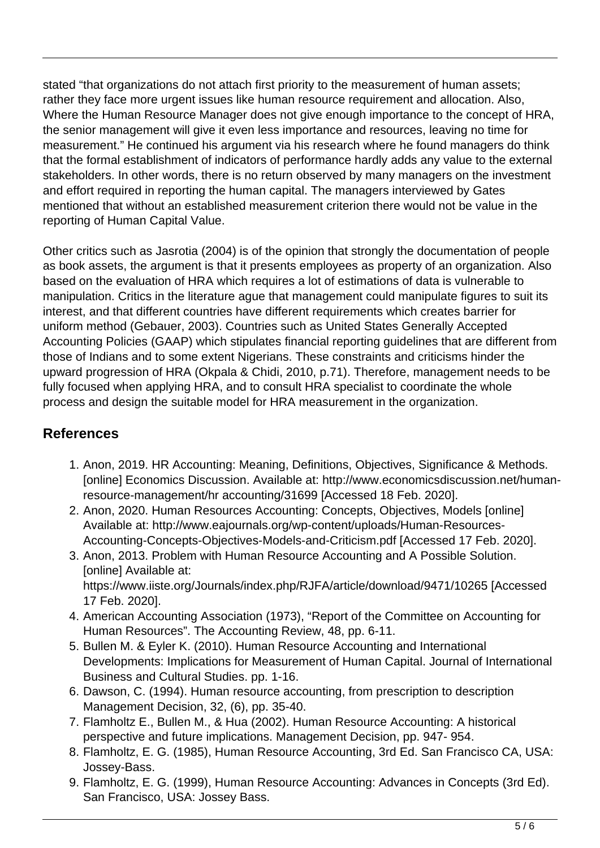stated "that organizations do not attach first priority to the measurement of human assets; rather they face more urgent issues like human resource requirement and allocation. Also, Where the Human Resource Manager does not give enough importance to the concept of HRA, the senior management will give it even less importance and resources, leaving no time for measurement." He continued his argument via his research where he found managers do think that the formal establishment of indicators of performance hardly adds any value to the external stakeholders. In other words, there is no return observed by many managers on the investment and effort required in reporting the human capital. The managers interviewed by Gates mentioned that without an established measurement criterion there would not be value in the reporting of Human Capital Value.

Other critics such as Jasrotia (2004) is of the opinion that strongly the documentation of people as book assets, the argument is that it presents employees as property of an organization. Also based on the evaluation of HRA which requires a lot of estimations of data is vulnerable to manipulation. Critics in the literature ague that management could manipulate figures to suit its interest, and that different countries have different requirements which creates barrier for uniform method (Gebauer, 2003). Countries such as United States Generally Accepted Accounting Policies (GAAP) which stipulates financial reporting guidelines that are different from those of Indians and to some extent Nigerians. These constraints and criticisms hinder the upward progression of HRA (Okpala & Chidi, 2010, p.71). Therefore, management needs to be fully focused when applying HRA, and to consult HRA specialist to coordinate the whole process and design the suitable model for HRA measurement in the organization.

## **References**

- 1. Anon, 2019. HR Accounting: Meaning, Definitions, Objectives, Significance & Methods. [online] Economics Discussion. Available at: http://www.economicsdiscussion.net/humanresource-management/hr accounting/31699 [Accessed 18 Feb. 2020].
- 2. Anon, 2020. Human Resources Accounting: Concepts, Objectives, Models [online] Available at: http://www.eajournals.org/wp-content/uploads/Human-Resources-Accounting-Concepts-Objectives-Models-and-Criticism.pdf [Accessed 17 Feb. 2020].
- 3. Anon, 2013. Problem with Human Resource Accounting and A Possible Solution. [online] Available at: https://www.iiste.org/Journals/index.php/RJFA/article/download/9471/10265 [Accessed 17 Feb. 2020].
- 4. American Accounting Association (1973), "Report of the Committee on Accounting for Human Resources". The Accounting Review, 48, pp. 6-11.
- 5. Bullen M. & Eyler K. (2010). Human Resource Accounting and International Developments: Implications for Measurement of Human Capital. Journal of International Business and Cultural Studies. pp. 1-16.
- 6. Dawson, C. (1994). Human resource accounting, from prescription to description Management Decision, 32, (6), pp. 35-40.
- 7. Flamholtz E., Bullen M., & Hua (2002). Human Resource Accounting: A historical perspective and future implications. Management Decision, pp. 947- 954.
- 8. Flamholtz, E. G. (1985), Human Resource Accounting, 3rd Ed. San Francisco CA, USA: Jossey-Bass.
- 9. Flamholtz, E. G. (1999), Human Resource Accounting: Advances in Concepts (3rd Ed). San Francisco, USA: Jossey Bass.